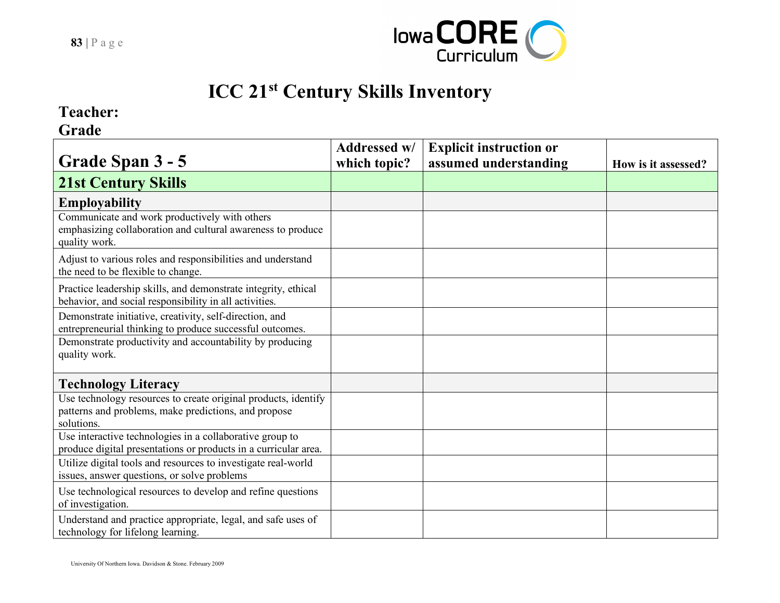



## **ICC 21st Century Skills Inventory**

## **Teacher:**

**Grade**

| Grade Span 3 - 5                                                                                                                     | Addressed w/<br>which topic? | <b>Explicit instruction or</b><br>assumed understanding | How is it assessed? |
|--------------------------------------------------------------------------------------------------------------------------------------|------------------------------|---------------------------------------------------------|---------------------|
| <b>21st Century Skills</b>                                                                                                           |                              |                                                         |                     |
| <b>Employability</b>                                                                                                                 |                              |                                                         |                     |
| Communicate and work productively with others<br>emphasizing collaboration and cultural awareness to produce<br>quality work.        |                              |                                                         |                     |
| Adjust to various roles and responsibilities and understand<br>the need to be flexible to change.                                    |                              |                                                         |                     |
| Practice leadership skills, and demonstrate integrity, ethical<br>behavior, and social responsibility in all activities.             |                              |                                                         |                     |
| Demonstrate initiative, creativity, self-direction, and<br>entrepreneurial thinking to produce successful outcomes.                  |                              |                                                         |                     |
| Demonstrate productivity and accountability by producing<br>quality work.                                                            |                              |                                                         |                     |
| <b>Technology Literacy</b>                                                                                                           |                              |                                                         |                     |
| Use technology resources to create original products, identify<br>patterns and problems, make predictions, and propose<br>solutions. |                              |                                                         |                     |
| Use interactive technologies in a collaborative group to<br>produce digital presentations or products in a curricular area.          |                              |                                                         |                     |
| Utilize digital tools and resources to investigate real-world<br>issues, answer questions, or solve problems                         |                              |                                                         |                     |
| Use technological resources to develop and refine questions<br>of investigation.                                                     |                              |                                                         |                     |
| Understand and practice appropriate, legal, and safe uses of<br>technology for lifelong learning.                                    |                              |                                                         |                     |